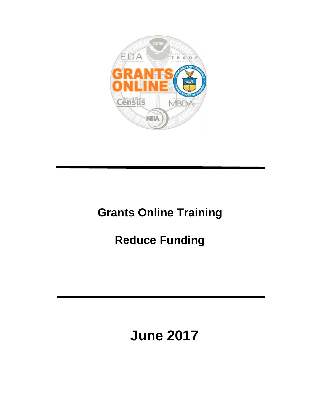

# **Grants Online Training**

# **Reduce Funding**

# **June 2017**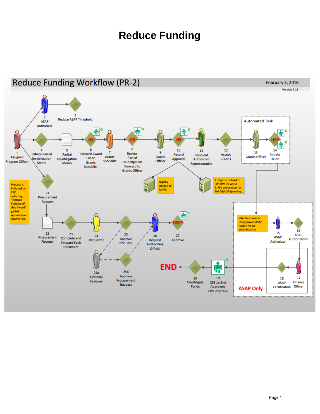## **Reduce Funding**

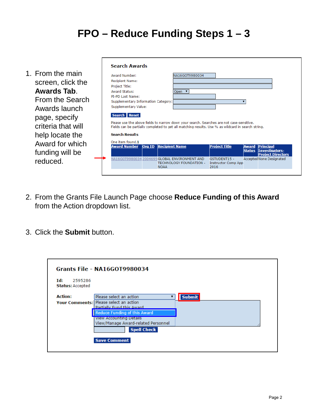## **FPO – Reduce Funding Steps 1 – 3**

| 1. From the main<br>screen, click the<br>Awards Tab.<br>From the Search<br>Awards launch<br>page, specify<br>criteria that will<br>help locate the<br>Award for which<br>funding will be<br>reduced. | <b>Search Awards</b><br><b>Award Number:</b><br>NA16GOT9980034<br><b>Recipient Name:</b><br>Project Title:<br><b>Award Status:</b><br>Open $\overline{v}$<br>PI-PD Last Name:<br>Supplementary Information Category:<br>Supplementary Value:<br>Search   Reset<br>Please use the above fields to narrow down your search. Searches are not case-sensitive.<br>Fields can be partially completed to get all matching results. Use % as wildcard in search string.<br><b>Search Results</b><br>One item found.1<br><b>Award Number</b><br><b>Recipient Name</b><br><b>Project Title</b><br>Org ID<br><b>Principal</b><br>Award<br>Investigators-<br>Status<br><b>Project Directors</b><br>NA16GOT9980034 2004695 GLOBAL ENVIRONMENT AND<br><b>Accepted None Designated</b><br><b>GSTUDENT15 -</b><br>TECHNOLOGY FOUNDATION -<br><b>Instructor Comp App</b><br><b>NOAA</b><br>2016 |
|------------------------------------------------------------------------------------------------------------------------------------------------------------------------------------------------------|---------------------------------------------------------------------------------------------------------------------------------------------------------------------------------------------------------------------------------------------------------------------------------------------------------------------------------------------------------------------------------------------------------------------------------------------------------------------------------------------------------------------------------------------------------------------------------------------------------------------------------------------------------------------------------------------------------------------------------------------------------------------------------------------------------------------------------------------------------------------------------|
|                                                                                                                                                                                                      |                                                                                                                                                                                                                                                                                                                                                                                                                                                                                                                                                                                                                                                                                                                                                                                                                                                                                 |

- 2. From the Grants File Launch Page choose **Reduce Funding of this Award** from the Action dropdown list.
- 3. Click the **Submit** button.

| Id:<br>2595286<br><b>Status: Accepted</b> | Grants File - NA16GOT9980034                                               |               |
|-------------------------------------------|----------------------------------------------------------------------------|---------------|
| <b>Action:</b>                            | Please select an action                                                    | <b>Submit</b> |
|                                           | Your Comments: Please select an action<br><b>Partially Fund this Award</b> |               |
|                                           | <b>Reduce Funding of this Award</b>                                        |               |
|                                           | <b>View Accounting Details</b><br>View/Manage Award-related Personnel      |               |
|                                           | <b>Spell Check</b>                                                         |               |
|                                           | <b>Save Comment</b>                                                        |               |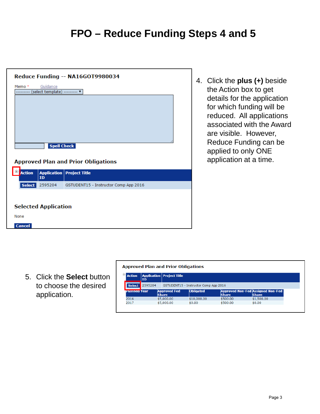#### **FPO – Reduce Funding Steps 4 and 5**

|                             |                                         | Reduce Funding -- NA16GOT9980034           |  |
|-----------------------------|-----------------------------------------|--------------------------------------------|--|
| Memo *<br>.                 | Guidance<br>(select template) --------- |                                            |  |
|                             |                                         |                                            |  |
|                             |                                         |                                            |  |
|                             |                                         |                                            |  |
|                             |                                         |                                            |  |
|                             | <b>Spell Check</b>                      |                                            |  |
|                             |                                         |                                            |  |
|                             |                                         | <b>Approved Plan and Prior Obligations</b> |  |
| <b>Action</b>               | ID                                      | <b>Application Project Title</b>           |  |
| Select                      | 2595204                                 | GSTUDENT15 - Instructor Comp App 2016      |  |
|                             |                                         |                                            |  |
| <b>Selected Application</b> |                                         |                                            |  |
| None                        |                                         |                                            |  |
| <b>Cancel</b>               |                                         |                                            |  |

4. Click the **plus (+)** beside the Action box to get details for the application for which funding will be reduced. All applications associated with the Award are visible. However, Reduce Funding can be applied to only ONE application at a time.

5. Click the **Select** button to choose the desired application.

| <b>Action</b><br><b>Application   Project Title</b><br><b>ID</b><br>2595204<br>Select<br>GSTUDENT15 - Instructor Comp App 2016         |  |
|----------------------------------------------------------------------------------------------------------------------------------------|--|
|                                                                                                                                        |  |
|                                                                                                                                        |  |
| <b>Approved Non-Fed Assigned Non-Fed</b><br><b>Obligated</b><br><b>Approved Fed</b><br>Planned Year<br><b>Share</b><br>Share<br>Share, |  |
| 2016<br>\$1,500.00<br>\$5,000.00<br>\$10,000.00<br>\$500.00                                                                            |  |
| \$5,000,00<br>\$500.00<br>\$0.00<br>2017<br>\$0.00                                                                                     |  |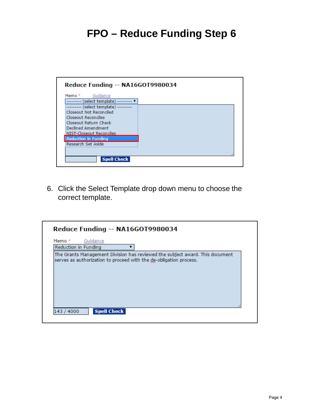## **FPO – Reduce Funding Step 6**



6. Click the Select Template drop down menu to choose the correct template.

| Memo *               | Guidance                                                           |  |                                                                              |  |
|----------------------|--------------------------------------------------------------------|--|------------------------------------------------------------------------------|--|
| Reduction in Funding |                                                                    |  |                                                                              |  |
|                      | serves as authorization to proceed with the de-obligation process. |  | The Grants Management Division has reviewed the subject award. This document |  |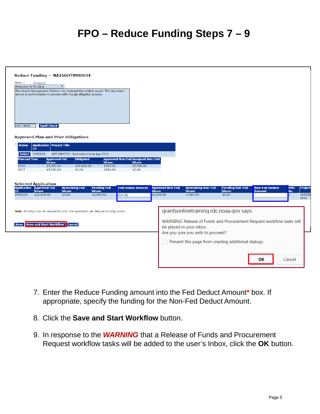#### **FPO – Reduce Funding Steps 7 – 9**

| Memo*<br>Reduction in Funding     | Guidance<br>serves as authorization to proceed with the de-obligation process.                       | $\overline{\mathbf{v}}$                        | The Grants Management Division has reviewed the subject award. This document     |                                          |                                                       |                                                                                                                                                                                               |                                                  |                                 |                                                       |
|-----------------------------------|------------------------------------------------------------------------------------------------------|------------------------------------------------|----------------------------------------------------------------------------------|------------------------------------------|-------------------------------------------------------|-----------------------------------------------------------------------------------------------------------------------------------------------------------------------------------------------|--------------------------------------------------|---------------------------------|-------------------------------------------------------|
| 143 / 4000<br>Ėŀ<br><b>Action</b> | <b>Spell Check</b><br><b>Approved Plan and Prior Obligations</b><br><b>Application Project Title</b> |                                                |                                                                                  |                                          |                                                       |                                                                                                                                                                                               |                                                  |                                 |                                                       |
|                                   | ID                                                                                                   |                                                |                                                                                  |                                          |                                                       |                                                                                                                                                                                               |                                                  |                                 |                                                       |
| Select  <br><b>Planned Year</b>   | 2595204                                                                                              | GSTUDENT15 - Instructor Comp App 2016          |                                                                                  | <b>Approved Non-Fed Assigned Non-Fed</b> |                                                       |                                                                                                                                                                                               |                                                  |                                 |                                                       |
|                                   | <b>Approved Fed</b><br><b>Share</b>                                                                  | <b>Obligated</b>                               | <b>Share</b>                                                                     | <b>Share</b>                             |                                                       |                                                                                                                                                                                               |                                                  |                                 |                                                       |
| 2016<br>2017                      | \$5,000.00<br>\$5,000.00                                                                             | \$10,000.00<br>\$0.00                          | \$500.00<br>\$500.00                                                             | \$1,500.00<br>\$0.00                     |                                                       |                                                                                                                                                                                               |                                                  |                                 |                                                       |
| ID.<br>2595204                    | <b>Selected Application</b><br><b>Application Approved Fed</b><br><b>Share</b><br>\$10,000.00        | <b>Remaining Fed</b><br><b>Share</b><br>\$0.00 | <b>Pending Fed</b><br><b>Share</b><br>\$2,500.00                                 | <b>Fed Deduct Amount</b><br>500.00       | <b>Approved Non-Fed</b><br><b>Share</b><br>\$1,000.00 | <b>Remaining Non-Fed</b><br><b>Share</b><br>$$-500.00$                                                                                                                                        | <b>Pending Non-Fed</b><br><b>Share</b><br>\$0.00 | Non-Fed Deduct<br><b>Amount</b> | <b>AMD</b><br>Project<br>No.<br><b>GSTUDE</b><br>2016 |
|                                   |                                                                                                      |                                                | Note: Funding may be reduced for only one application per Reduce Funding action. |                                          |                                                       | grantsonlinetraining.rdc.noaa.gov says:                                                                                                                                                       |                                                  |                                 |                                                       |
| <b>Save</b>                       | <b>Save and Start Workflow   Cancel</b>                                                              |                                                |                                                                                  |                                          |                                                       | WARNING: Release of Funds and Procurement Request workflow tasks will<br>be placed in your inbox.<br>Are you sure you wish to proceed?<br>Prevent this page from creating additional dialogs. |                                                  |                                 |                                                       |
|                                   |                                                                                                      |                                                |                                                                                  |                                          |                                                       |                                                                                                                                                                                               |                                                  |                                 |                                                       |
|                                   |                                                                                                      |                                                |                                                                                  |                                          |                                                       |                                                                                                                                                                                               |                                                  | ΟК                              | Cancel                                                |

- 7. Enter the Reduce Funding amount into the Fed Deduct Amount**\*** box. If appropriate, specify the funding for the Non-Fed Deduct Amount.
- 8. Click the **Save and Start Workflow** button.
- 9. In response to the *WARNING* that a Release of Funds and Procurement Request workflow tasks will be added to the user's Inbox, click the **OK** button.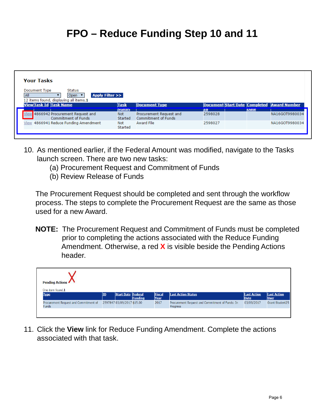#### **FPO – Reduce Funding Step 10 and 11**

| <b>Your Tasks</b>                                                                                                       |                       |                                                |                                            |             |                |
|-------------------------------------------------------------------------------------------------------------------------|-----------------------|------------------------------------------------|--------------------------------------------|-------------|----------------|
| Document Type<br>Status<br><b>Apply Filter &gt;&gt;</b><br><b>All</b><br>Open<br>12 items found, displaying all items.1 |                       |                                                |                                            |             |                |
| <b>View Task Id Task Name</b>                                                                                           | Task                  | <b>Document Type</b>                           | Document Start Date Completed Award Number |             |                |
|                                                                                                                         | <b>Status</b>         |                                                | La                                         | <b>Date</b> |                |
| View 4866942 Procurement Request and<br>Commitment of Funds                                                             | <b>Not</b><br>Started | Procurement Request and<br>Commitment of Funds | 2598028                                    |             | NA16GOT9980034 |
| View 4866941 Reduce Funding Amendment                                                                                   | Not<br>Started        | <b>Award File</b>                              | 2598027                                    |             | NA16GOT9980034 |
|                                                                                                                         |                       |                                                |                                            |             |                |

- 10. As mentioned earlier, if the Federal Amount was modified, navigate to the Tasks launch screen. There are two new tasks:
	- (a) Procurement Request and Commitment of Funds
	- (b) Review Release of Funds

The Procurement Request should be completed and sent through the workflow process. The steps to complete the Procurement Request are the same as those used for a new Award.

**NOTE:** The Procurement Request and Commitment of Funds must be completed prior to completing the actions associated with the Reduce Funding Amendment. Otherwise, a red **X** is visible beside the Pending Actions header.

| <b>Pending Actions</b><br>One item found.1            |    |                            |         |                       |                                                             |                                   |                                   |
|-------------------------------------------------------|----|----------------------------|---------|-----------------------|-------------------------------------------------------------|-----------------------------------|-----------------------------------|
| <b>Type</b>                                           | ID | Start Date Federal         | Funding | <b>Fiscal</b><br>Year | <b>Last Action Status</b>                                   | <b>Last Action</b><br><b>Date</b> | <b>Last Action</b><br><b>User</b> |
| Procurement Request and Commitment of<br><b>Funds</b> |    | 2597847 03/09/2017 \$15.00 |         | 2017                  | Procurement Request and Commitment of Funds: In<br>Progress | 03/09/2017                        | Grant Student25                   |
|                                                       |    |                            |         |                       |                                                             |                                   |                                   |

11. Click the **View** link for Reduce Funding Amendment. Complete the actions associated with that task.